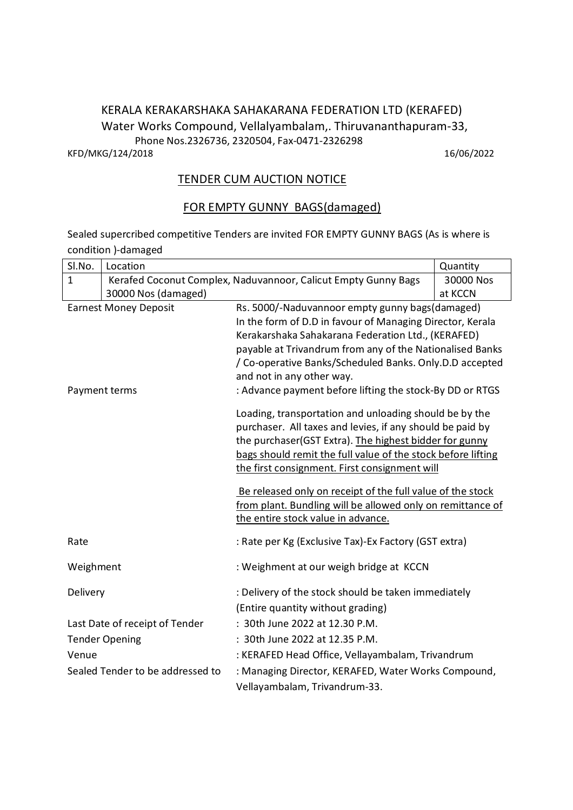### KERALA KERAKARSHAKA SAHAKARANA FEDERATION LTD (KERAFED) Water Works Compound, Vellalyambalam,. Thiruvananthapuram-33, Phone Nos.2326736, 2320504, Fax-0471-2326298 KFD/MKG/124/2018 16/06/2022

### TENDER CUM AUCTION NOTICE

## FOR EMPTY GUNNY BAGS(damaged)

Sealed supercribed competitive Tenders are invited FOR EMPTY GUNNY BAGS (As is where is condition )-damaged

| Sl.No.                           | Location                                                       |                                                                                                                                                                                                                                                                                                | Quantity  |  |
|----------------------------------|----------------------------------------------------------------|------------------------------------------------------------------------------------------------------------------------------------------------------------------------------------------------------------------------------------------------------------------------------------------------|-----------|--|
| $\mathbf{1}$                     | Kerafed Coconut Complex, Naduvannoor, Calicut Empty Gunny Bags |                                                                                                                                                                                                                                                                                                | 30000 Nos |  |
|                                  | 30000 Nos (damaged)                                            |                                                                                                                                                                                                                                                                                                | at KCCN   |  |
| <b>Earnest Money Deposit</b>     |                                                                | Rs. 5000/-Naduvannoor empty gunny bags(damaged)                                                                                                                                                                                                                                                |           |  |
|                                  |                                                                | In the form of D.D in favour of Managing Director, Kerala                                                                                                                                                                                                                                      |           |  |
|                                  |                                                                | Kerakarshaka Sahakarana Federation Ltd., (KERAFED)                                                                                                                                                                                                                                             |           |  |
|                                  |                                                                | payable at Trivandrum from any of the Nationalised Banks                                                                                                                                                                                                                                       |           |  |
|                                  |                                                                | / Co-operative Banks/Scheduled Banks. Only.D.D accepted                                                                                                                                                                                                                                        |           |  |
|                                  |                                                                | and not in any other way.                                                                                                                                                                                                                                                                      |           |  |
| Payment terms                    |                                                                | : Advance payment before lifting the stock-By DD or RTGS                                                                                                                                                                                                                                       |           |  |
|                                  |                                                                | Loading, transportation and unloading should be by the<br>purchaser. All taxes and levies, if any should be paid by<br>the purchaser(GST Extra). The highest bidder for gunny<br>bags should remit the full value of the stock before lifting<br>the first consignment. First consignment will |           |  |
|                                  |                                                                | Be released only on receipt of the full value of the stock                                                                                                                                                                                                                                     |           |  |
|                                  |                                                                | from plant. Bundling will be allowed only on remittance of                                                                                                                                                                                                                                     |           |  |
|                                  |                                                                | the entire stock value in advance.                                                                                                                                                                                                                                                             |           |  |
| Rate                             |                                                                | : Rate per Kg (Exclusive Tax)-Ex Factory (GST extra)                                                                                                                                                                                                                                           |           |  |
| Weighment                        |                                                                | : Weighment at our weigh bridge at KCCN                                                                                                                                                                                                                                                        |           |  |
| Delivery                         |                                                                | : Delivery of the stock should be taken immediately                                                                                                                                                                                                                                            |           |  |
|                                  |                                                                | (Entire quantity without grading)                                                                                                                                                                                                                                                              |           |  |
|                                  | Last Date of receipt of Tender                                 | : 30th June 2022 at 12.30 P.M.                                                                                                                                                                                                                                                                 |           |  |
|                                  | <b>Tender Opening</b>                                          | : 30th June 2022 at 12.35 P.M.                                                                                                                                                                                                                                                                 |           |  |
| Venue                            |                                                                | : KERAFED Head Office, Vellayambalam, Trivandrum                                                                                                                                                                                                                                               |           |  |
| Sealed Tender to be addressed to |                                                                | : Managing Director, KERAFED, Water Works Compound,                                                                                                                                                                                                                                            |           |  |
|                                  |                                                                | Vellayambalam, Trivandrum-33.                                                                                                                                                                                                                                                                  |           |  |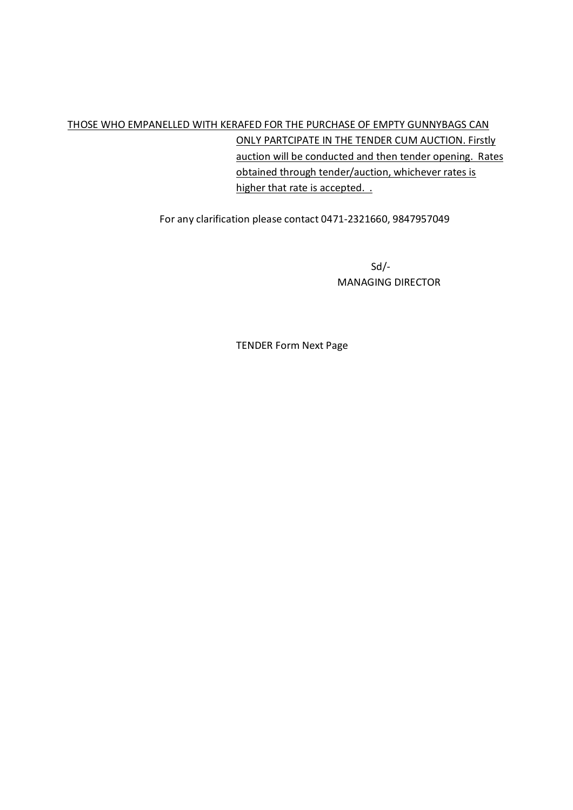# THOSE WHO EMPANELLED WITH KERAFED FOR THE PURCHASE OF EMPTY GUNNYBAGS CAN ONLY PARTCIPATE IN THE TENDER CUM AUCTION. Firstly auction will be conducted and then tender opening. Rates obtained through tender/auction, whichever rates is higher that rate is accepted. .

For any clarification please contact 0471-2321660, 9847957049

Sd/- MANAGING DIRECTOR

TENDER Form Next Page